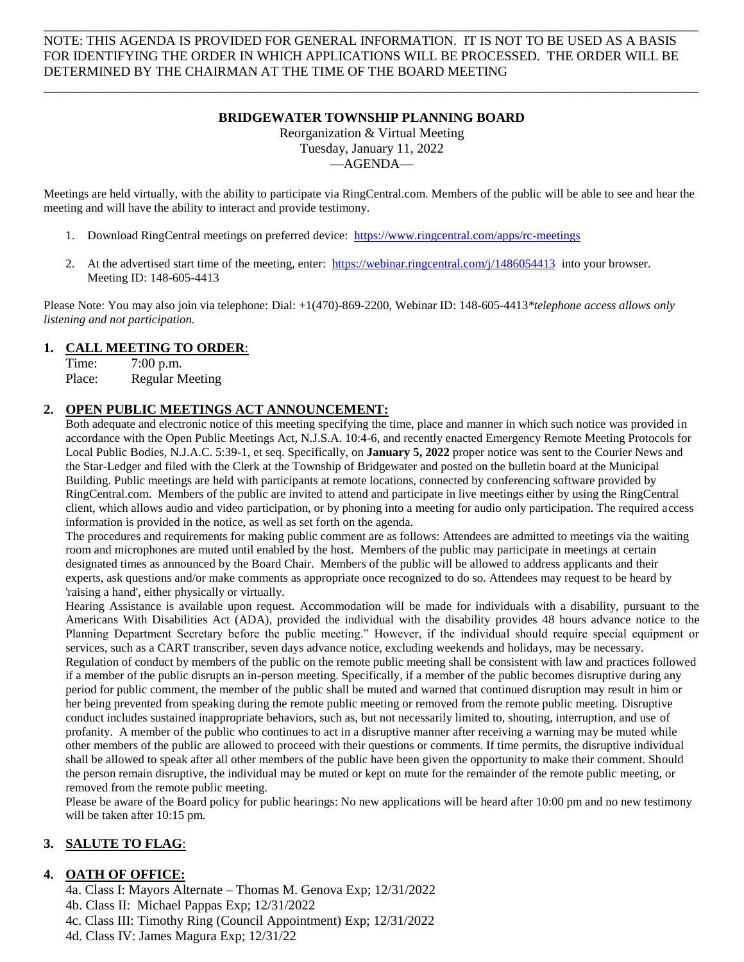NOTE: THIS AGENDA IS PROVIDED FOR GENERAL INFORMATION. IT IS NOT TO BE USED AS A BASIS FOR IDENTIFYING THE ORDER IN WHICH APPLICATIONS WILL BE PROCESSED. THE ORDER WILL BE DETERMINED BY THE CHAIRMAN AT THE TIME OF THE BOARD MEETING

\_\_\_\_\_\_\_\_\_\_\_\_\_\_\_\_\_\_\_\_\_\_\_\_\_\_\_\_\_\_\_\_\_\_\_\_\_\_\_\_\_\_\_\_\_\_\_\_\_\_\_\_\_\_\_\_\_\_\_\_\_\_\_\_\_\_\_\_\_\_\_\_\_\_\_\_\_\_\_\_\_\_\_\_\_\_\_\_\_\_\_\_\_\_\_\_\_\_

#### **BRIDGEWATER TOWNSHIP PLANNING BOARD**

\_\_\_\_\_\_\_\_\_\_\_\_\_\_\_\_\_\_\_\_\_\_\_\_\_\_\_\_\_\_\_\_\_\_\_\_\_\_\_\_\_\_\_\_\_\_\_\_\_\_\_\_\_\_\_\_\_\_\_\_\_\_\_\_\_\_\_\_\_\_\_\_\_\_\_\_\_\_\_\_\_\_\_\_\_\_\_\_\_\_\_\_\_\_\_\_\_\_

Reorganization & Virtual Meeting Tuesday, January 11, 2022 —AGENDA—

Meetings are held virtually, with the ability to participate via RingCentral.com. Members of the public will be able to see and hear the meeting and will have the ability to interact and provide testimony.

- 1. Download RingCentral meetings on preferred device: <https://www.ringcentral.com/apps/rc-meetings>
- 2. At the advertised start time of the meeting, enter: <https://webinar.ringcentral.com/j/1486054413> into your browser. Meeting ID: 148-605-4413

Please Note: You may also join via telephone: Dial: +1(470)-869-2200, Webinar ID: 148-605-4413*\*telephone access allows only listening and not participation.*

#### **1. CALL MEETING TO ORDER**:

Time: 7:00 p.m. Place: Regular Meeting

#### **2. OPEN PUBLIC MEETINGS ACT ANNOUNCEMENT:**

Both adequate and electronic notice of this meeting specifying the time, place and manner in which such notice was provided in accordance with the Open Public Meetings Act, N.J.S.A. 10:4-6, and recently enacted Emergency Remote Meeting Protocols for Local Public Bodies, N.J.A.C. 5:39-1, et seq. Specifically, on **January 5, 2022** proper notice was sent to the Courier News and the Star-Ledger and filed with the Clerk at the Township of Bridgewater and posted on the bulletin board at the Municipal Building. Public meetings are held with participants at remote locations, connected by conferencing software provided by RingCentral.com. Members of the public are invited to attend and participate in live meetings either by using the RingCentral client, which allows audio and video participation, or by phoning into a meeting for audio only participation. The required access information is provided in the notice, as well as set forth on the agenda.

The procedures and requirements for making public comment are as follows: Attendees are admitted to meetings via the waiting room and microphones are muted until enabled by the host. Members of the public may participate in meetings at certain designated times as announced by the Board Chair. Members of the public will be allowed to address applicants and their experts, ask questions and/or make comments as appropriate once recognized to do so. Attendees may request to be heard by 'raising a hand', either physically or virtually.

Hearing Assistance is available upon request. Accommodation will be made for individuals with a disability, pursuant to the Americans With Disabilities Act (ADA), provided the individual with the disability provides 48 hours advance notice to the Planning Department Secretary before the public meeting." However, if the individual should require special equipment or services, such as a CART transcriber, seven days advance notice, excluding weekends and holidays, may be necessary. Regulation of conduct by members of the public on the remote public meeting shall be consistent with law and practices followed if a member of the public disrupts an in-person meeting. Specifically, if a member of the public becomes disruptive during any period for public comment, the member of the public shall be muted and warned that continued disruption may result in him or her being prevented from speaking during the remote public meeting or removed from the remote public meeting. Disruptive conduct includes sustained inappropriate behaviors, such as, but not necessarily limited to, shouting, interruption, and use of profanity. A member of the public who continues to act in a disruptive manner after receiving a warning may be muted while other members of the public are allowed to proceed with their questions or comments. If time permits, the disruptive individual shall be allowed to speak after all other members of the public have been given the opportunity to make their comment. Should the person remain disruptive, the individual may be muted or kept on mute for the remainder of the remote public meeting, or removed from the remote public meeting.

Please be aware of the Board policy for public hearings: No new applications will be heard after 10:00 pm and no new testimony will be taken after 10:15 pm.

# **3. SALUTE TO FLAG**:

# **4. OATH OF OFFICE:**

4a. Class I: Mayors Alternate – Thomas M. Genova Exp; 12/31/2022 4b. Class II: Michael Pappas Exp; 12/31/2022 4c. Class III: Timothy Ring (Council Appointment) Exp; 12/31/2022 4d. Class IV: James Magura Exp; 12/31/22